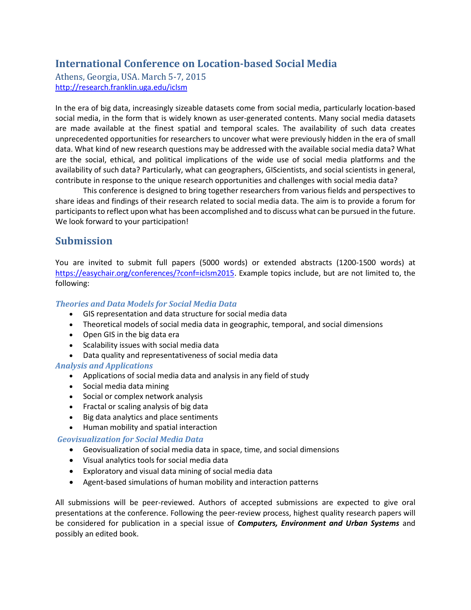# **International Conference on Location-based Social Media**

Athens, Georgia, USA. March 5-7, 2015 <http://research.franklin.uga.edu/iclsm>

In the era of big data, increasingly sizeable datasets come from social media, particularly location-based social media, in the form that is widely known as user-generated contents. Many social media datasets are made available at the finest spatial and temporal scales. The availability of such data creates unprecedented opportunities for researchers to uncover what were previously hidden in the era of small data. What kind of new research questions may be addressed with the available social media data? What are the social, ethical, and political implications of the wide use of social media platforms and the availability of such data? Particularly, what can geographers, GIScientists, and social scientists in general, contribute in response to the unique research opportunities and challenges with social media data?

This conference is designed to bring together researchers from various fields and perspectives to share ideas and findings of their research related to social media data. The aim is to provide a forum for participants to reflect upon what has been accomplished and to discuss what can be pursued in the future. We look forward to your participation!

# **Submission**

You are invited to submit full papers (5000 words) or extended abstracts (1200-1500 words) at [https://easychair.org/conferences/?conf=iclsm2015.](https://easychair.org/conferences/?conf=iclsm2015) Example topics include, but are not limited to, the following:

#### *Theories and Data Models for Social Media Data*

- GIS representation and data structure for social media data
- Theoretical models of social media data in geographic, temporal, and social dimensions
- Open GIS in the big data era
- Scalability issues with social media data
- Data quality and representativeness of social media data

#### *Analysis and Applications*

- Applications of social media data and analysis in any field of study
- Social media data mining
- Social or complex network analysis
- Fractal or scaling analysis of big data
- Big data analytics and place sentiments
- Human mobility and spatial interaction

#### *Geovisualization for Social Media Data*

- Geovisualization of social media data in space, time, and social dimensions
- Visual analytics tools for social media data
- Exploratory and visual data mining of social media data
- Agent-based simulations of human mobility and interaction patterns

All submissions will be peer-reviewed. Authors of accepted submissions are expected to give oral presentations at the conference. Following the peer-review process, highest quality research papers will be considered for publication in a special issue of *Computers, Environment and Urban Systems* and possibly an edited book.